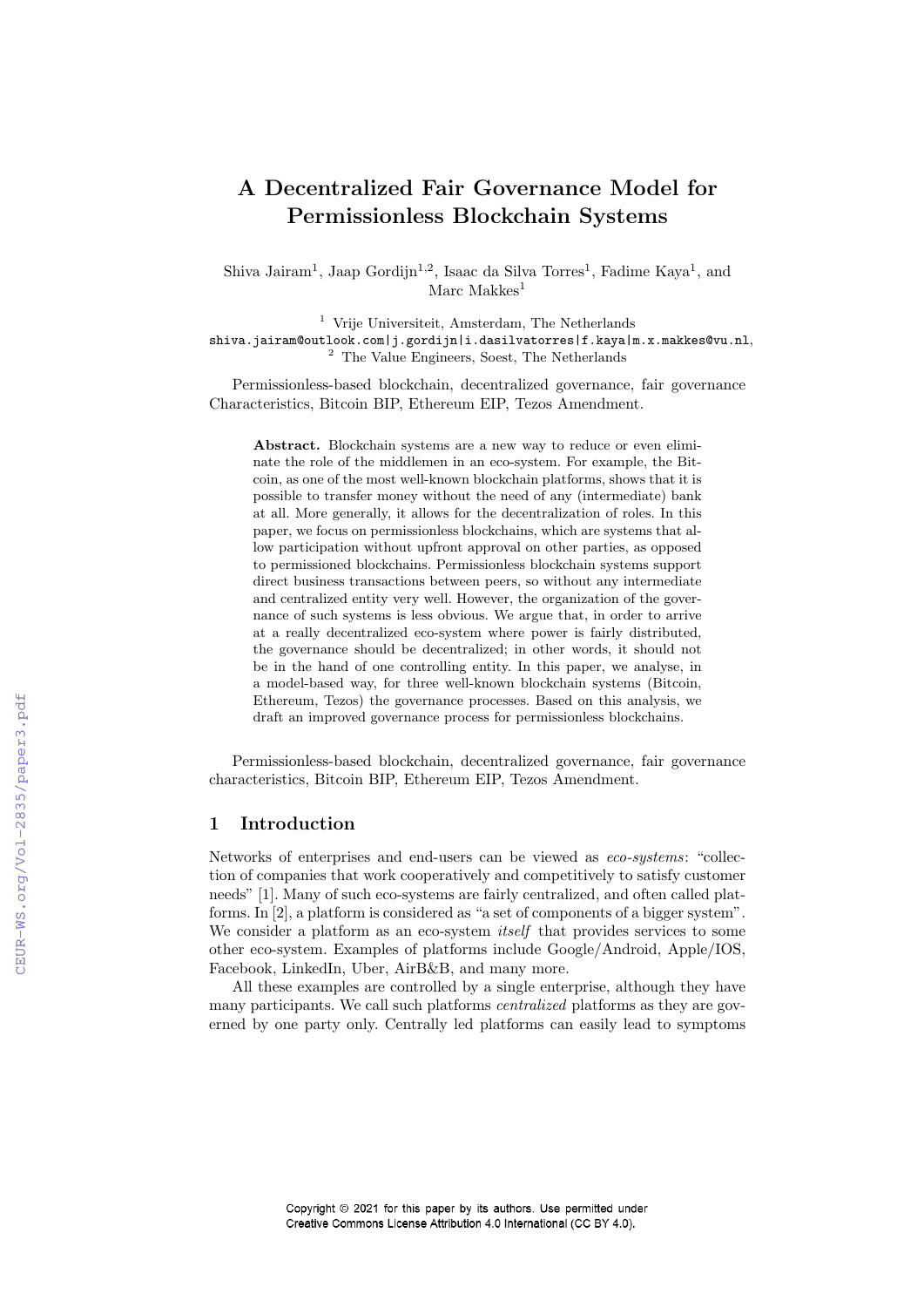# A Decentralized Fair Governance Model for Permissionless Blockchain Systems

Shiva Jairam<sup>1</sup>, Jaap Gordijn<sup>1,2</sup>, Isaac da Silva Torres<sup>1</sup>, Fadime Kaya<sup>1</sup>, and Marc Makkes $<sup>1</sup>$ </sup>

<sup>1</sup> Vrije Universiteit, Amsterdam, The Netherlands shiva.jairam@outlook.com|j.gordijn|i.dasilvatorres|f.kaya|m.x.makkes@vu.nl, <sup>2</sup> The Value Engineers, Soest, The Netherlands

Permissionless-based blockchain, decentralized governance, fair governance Characteristics, Bitcoin BIP, Ethereum EIP, Tezos Amendment.

Abstract. Blockchain systems are a new way to reduce or even eliminate the role of the middlemen in an eco-system. For example, the Bitcoin, as one of the most well-known blockchain platforms, shows that it is possible to transfer money without the need of any (intermediate) bank at all. More generally, it allows for the decentralization of roles. In this paper, we focus on permissionless blockchains, which are systems that allow participation without upfront approval on other parties, as opposed to permissioned blockchains. Permissionless blockchain systems support direct business transactions between peers, so without any intermediate and centralized entity very well. However, the organization of the governance of such systems is less obvious. We argue that, in order to arrive at a really decentralized eco-system where power is fairly distributed, the governance should be decentralized; in other words, it should not be in the hand of one controlling entity. In this paper, we analyse, in a model-based way, for three well-known blockchain systems (Bitcoin, Ethereum, Tezos) the governance processes. Based on this analysis, we draft an improved governance process for permissionless blockchains.

Permissionless-based blockchain, decentralized governance, fair governance characteristics, Bitcoin BIP, Ethereum EIP, Tezos Amendment.

## 1 Introduction

Networks of enterprises and end-users can be viewed as eco-systems: "collection of companies that work cooperatively and competitively to satisfy customer needs" [1]. Many of such eco-systems are fairly centralized, and often called platforms. In [2], a platform is considered as "a set of components of a bigger system". We consider a platform as an eco-system *itself* that provides services to some other eco-system. Examples of platforms include Google/Android, Apple/IOS, Facebook, LinkedIn, Uber, AirB&B, and many more.

All these examples are controlled by a single enterprise, although they have many participants. We call such platforms centralized platforms as they are governed by one party only. Centrally led platforms can easily lead to symptoms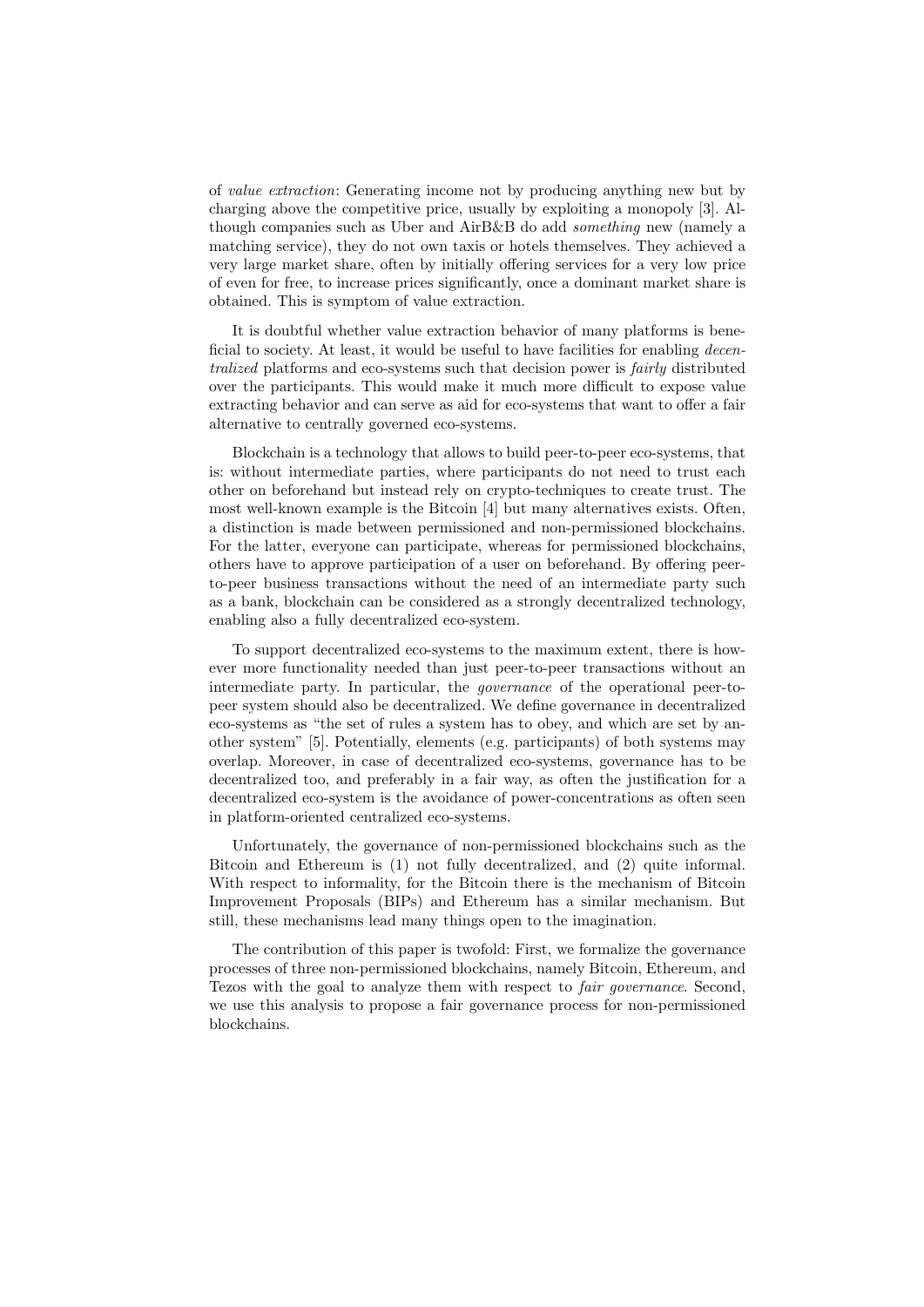of value extraction: Generating income not by producing anything new but by charging above the competitive price, usually by exploiting a monopoly [3]. Although companies such as Uber and AirB&B do add something new (namely a matching service), they do not own taxis or hotels themselves. They achieved a very large market share, often by initially offering services for a very low price of even for free, to increase prices significantly, once a dominant market share is obtained. This is symptom of value extraction.

It is doubtful whether value extraction behavior of many platforms is beneficial to society. At least, it would be useful to have facilities for enabling *decen*tralized platforms and eco-systems such that decision power is fairly distributed over the participants. This would make it much more difficult to expose value extracting behavior and can serve as aid for eco-systems that want to offer a fair alternative to centrally governed eco-systems.

Blockchain is a technology that allows to build peer-to-peer eco-systems, that is: without intermediate parties, where participants do not need to trust each other on beforehand but instead rely on crypto-techniques to create trust. The most well-known example is the Bitcoin [4] but many alternatives exists. Often, a distinction is made between permissioned and non-permissioned blockchains. For the latter, everyone can participate, whereas for permissioned blockchains, others have to approve participation of a user on beforehand. By offering peerto-peer business transactions without the need of an intermediate party such as a bank, blockchain can be considered as a strongly decentralized technology, enabling also a fully decentralized eco-system.

To support decentralized eco-systems to the maximum extent, there is however more functionality needed than just peer-to-peer transactions without an intermediate party. In particular, the governance of the operational peer-topeer system should also be decentralized. We define governance in decentralized eco-systems as "the set of rules a system has to obey, and which are set by another system" [5]. Potentially, elements (e.g. participants) of both systems may overlap. Moreover, in case of decentralized eco-systems, governance has to be decentralized too, and preferably in a fair way, as often the justification for a decentralized eco-system is the avoidance of power-concentrations as often seen in platform-oriented centralized eco-systems.

Unfortunately, the governance of non-permissioned blockchains such as the Bitcoin and Ethereum is (1) not fully decentralized, and (2) quite informal. With respect to informality, for the Bitcoin there is the mechanism of Bitcoin Improvement Proposals (BIPs) and Ethereum has a similar mechanism. But still, these mechanisms lead many things open to the imagination.

The contribution of this paper is twofold: First, we formalize the governance processes of three non-permissioned blockchains, namely Bitcoin, Ethereum, and Tezos with the goal to analyze them with respect to fair governance. Second, we use this analysis to propose a fair governance process for non-permissioned blockchains.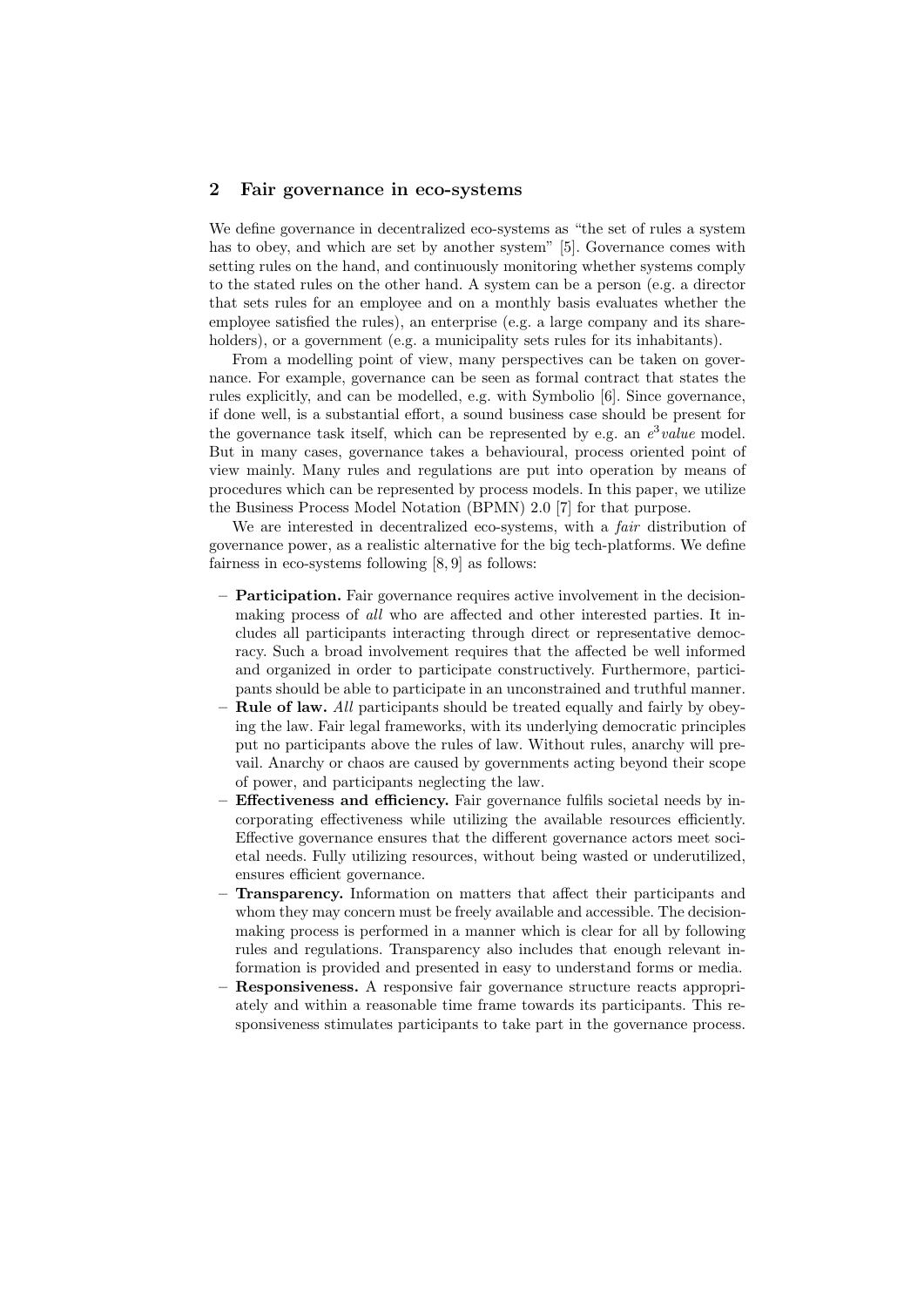### 2 Fair governance in eco-systems

We define governance in decentralized eco-systems as "the set of rules a system has to obey, and which are set by another system" [5]. Governance comes with setting rules on the hand, and continuously monitoring whether systems comply to the stated rules on the other hand. A system can be a person (e.g. a director that sets rules for an employee and on a monthly basis evaluates whether the employee satisfied the rules), an enterprise (e.g. a large company and its shareholders), or a government (e.g. a municipality sets rules for its inhabitants).

From a modelling point of view, many perspectives can be taken on governance. For example, governance can be seen as formal contract that states the rules explicitly, and can be modelled, e.g. with Symbolio [6]. Since governance, if done well, is a substantial effort, a sound business case should be present for the governance task itself, which can be represented by e.g. an  $e^3$  value model. But in many cases, governance takes a behavioural, process oriented point of view mainly. Many rules and regulations are put into operation by means of procedures which can be represented by process models. In this paper, we utilize the Business Process Model Notation (BPMN) 2.0 [7] for that purpose.

We are interested in decentralized eco-systems, with a *fair* distribution of governance power, as a realistic alternative for the big tech-platforms. We define fairness in eco-systems following [8, 9] as follows:

- Participation. Fair governance requires active involvement in the decisionmaking process of all who are affected and other interested parties. It includes all participants interacting through direct or representative democracy. Such a broad involvement requires that the affected be well informed and organized in order to participate constructively. Furthermore, participants should be able to participate in an unconstrained and truthful manner.
- $-$  Rule of law. All participants should be treated equally and fairly by obeying the law. Fair legal frameworks, with its underlying democratic principles put no participants above the rules of law. Without rules, anarchy will prevail. Anarchy or chaos are caused by governments acting beyond their scope of power, and participants neglecting the law.
- Effectiveness and efficiency. Fair governance fulfils societal needs by incorporating effectiveness while utilizing the available resources efficiently. Effective governance ensures that the different governance actors meet societal needs. Fully utilizing resources, without being wasted or underutilized, ensures efficient governance.
- Transparency. Information on matters that affect their participants and whom they may concern must be freely available and accessible. The decisionmaking process is performed in a manner which is clear for all by following rules and regulations. Transparency also includes that enough relevant information is provided and presented in easy to understand forms or media.
- Responsiveness. A responsive fair governance structure reacts appropriately and within a reasonable time frame towards its participants. This responsiveness stimulates participants to take part in the governance process.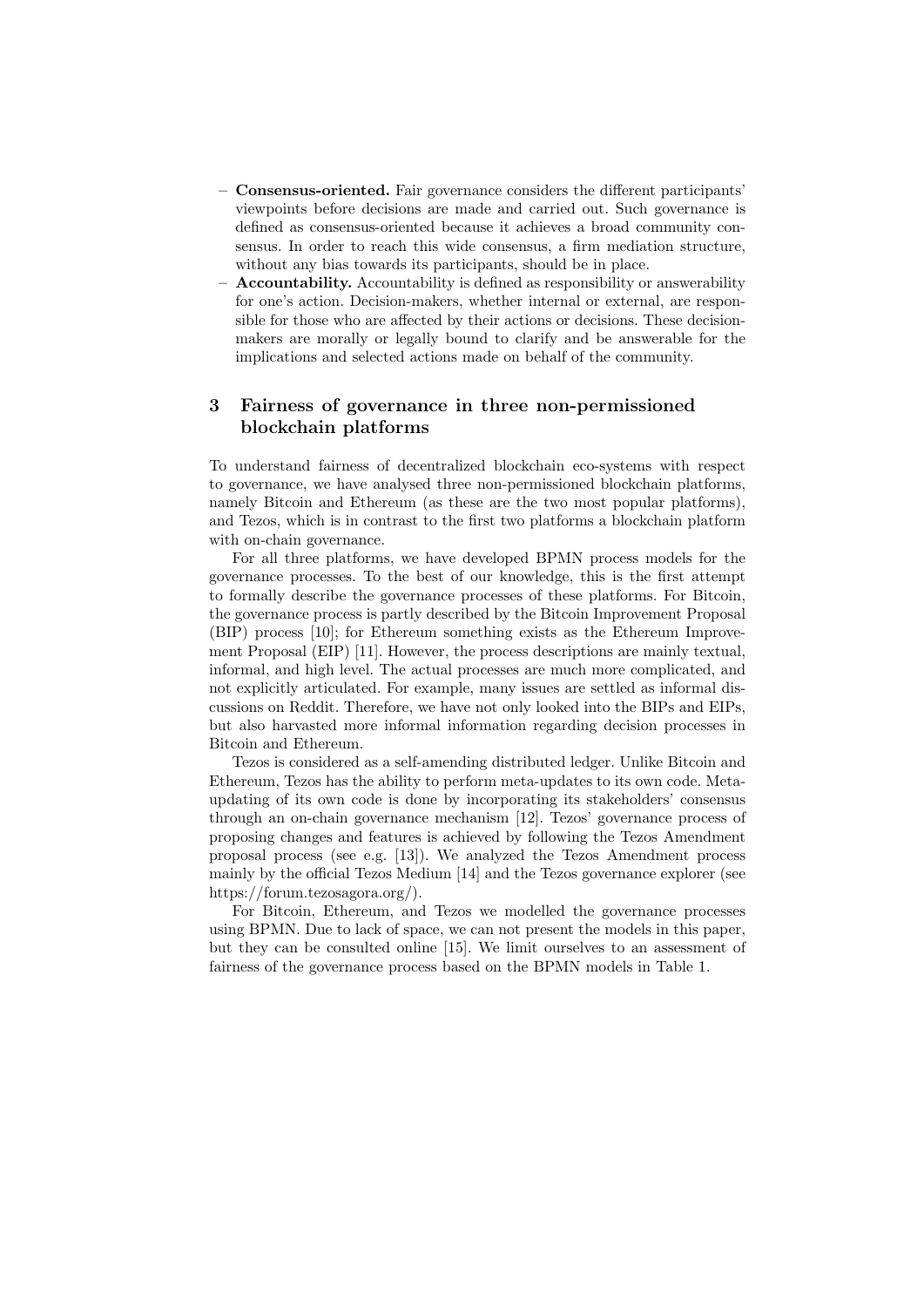- Consensus-oriented. Fair governance considers the different participants' viewpoints before decisions are made and carried out. Such governance is defined as consensus-oriented because it achieves a broad community consensus. In order to reach this wide consensus, a firm mediation structure, without any bias towards its participants, should be in place.
- $-$  **Accountability.** Accountability is defined as responsibility or answerability for one's action. Decision-makers, whether internal or external, are responsible for those who are affected by their actions or decisions. These decisionmakers are morally or legally bound to clarify and be answerable for the implications and selected actions made on behalf of the community.

## 3 Fairness of governance in three non-permissioned blockchain platforms

To understand fairness of decentralized blockchain eco-systems with respect to governance, we have analysed three non-permissioned blockchain platforms, namely Bitcoin and Ethereum (as these are the two most popular platforms), and Tezos, which is in contrast to the first two platforms a blockchain platform with on-chain governance.

For all three platforms, we have developed BPMN process models for the governance processes. To the best of our knowledge, this is the first attempt to formally describe the governance processes of these platforms. For Bitcoin, the governance process is partly described by the Bitcoin Improvement Proposal (BIP) process [10]; for Ethereum something exists as the Ethereum Improvement Proposal (EIP) [11]. However, the process descriptions are mainly textual, informal, and high level. The actual processes are much more complicated, and not explicitly articulated. For example, many issues are settled as informal discussions on Reddit. Therefore, we have not only looked into the BIPs and EIPs, but also harvasted more informal information regarding decision processes in Bitcoin and Ethereum.

Tezos is considered as a self-amending distributed ledger. Unlike Bitcoin and Ethereum, Tezos has the ability to perform meta-updates to its own code. Metaupdating of its own code is done by incorporating its stakeholders' consensus through an on-chain governance mechanism [12]. Tezos' governance process of proposing changes and features is achieved by following the Tezos Amendment proposal process (see e.g. [13]). We analyzed the Tezos Amendment process mainly by the official Tezos Medium [14] and the Tezos governance explorer (see https://forum.tezosagora.org/).

For Bitcoin, Ethereum, and Tezos we modelled the governance processes using BPMN. Due to lack of space, we can not present the models in this paper, but they can be consulted online [15]. We limit ourselves to an assessment of fairness of the governance process based on the BPMN models in Table 1.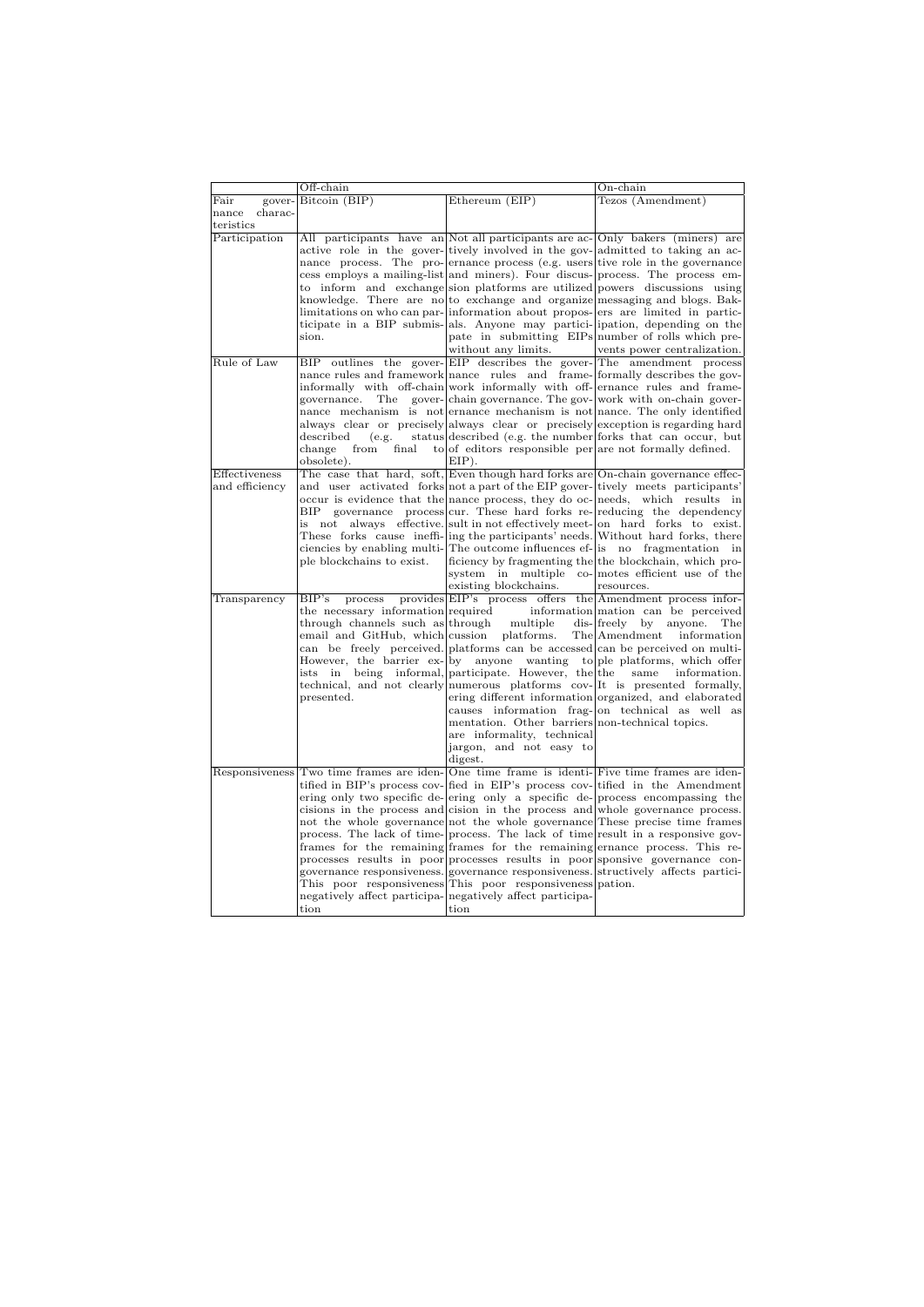|                  | Off-chain                                                                                   |                                                                                | $On$ -chain                                                                                                                                                     |
|------------------|---------------------------------------------------------------------------------------------|--------------------------------------------------------------------------------|-----------------------------------------------------------------------------------------------------------------------------------------------------------------|
| Fair<br>gover-   | Bitcoin (BIP)                                                                               | Ethereum (EIP)                                                                 | Tezos (Amendment)                                                                                                                                               |
| charac-<br>nance |                                                                                             |                                                                                |                                                                                                                                                                 |
| teristics        |                                                                                             |                                                                                |                                                                                                                                                                 |
| Participation    |                                                                                             |                                                                                | All participants have an Not all participants are ac-Only bakers (miners) are                                                                                   |
|                  |                                                                                             | active role in the gover-tively involved in the gov- admitted to taking an ac- |                                                                                                                                                                 |
|                  |                                                                                             |                                                                                | nance process. The pro-ernance process (e.g. users tive role in the governance<br>cess employs a mailing-list and miners). Four discus-process. The process em- |
|                  |                                                                                             |                                                                                | to inform and exchange sion platforms are utilized powers discussions using                                                                                     |
|                  |                                                                                             |                                                                                | knowledge. There are no to exchange and organize messaging and blogs. Bak-                                                                                      |
|                  |                                                                                             |                                                                                | limitations on who can par- information about propos- ers are limited in partic-                                                                                |
|                  |                                                                                             |                                                                                | ticipate in a BIP submis- als. Anyone may partici- ipation, depending on the                                                                                    |
|                  | sion.                                                                                       |                                                                                | pate in submitting EIPs number of rolls which pre-                                                                                                              |
|                  |                                                                                             | without any limits.                                                            | vents power centralization.                                                                                                                                     |
| Rule of Law      | BIP                                                                                         |                                                                                | outlines the gover-EIP describes the gover-The amendment process                                                                                                |
|                  |                                                                                             |                                                                                | nance rules and framework nance rules and frame-formally describes the gov-                                                                                     |
|                  |                                                                                             |                                                                                | informally with off-chain work informally with off-ernance rules and frame-                                                                                     |
|                  | governance.<br>The                                                                          |                                                                                | gover-chain governance. The gov-work with on-chain gover-                                                                                                       |
|                  |                                                                                             |                                                                                | nance mechanism is not ernance mechanism is not nance. The only identified                                                                                      |
|                  | described<br>(e.g.                                                                          |                                                                                | always clear or precisely always clear or precisely exception is regarding hard<br>status described (e.g. the number forks that can occur, but                  |
|                  | change<br>from<br>final                                                                     | to of editors responsible per are not formally defined.                        |                                                                                                                                                                 |
|                  | obsolete).                                                                                  | EIP).                                                                          |                                                                                                                                                                 |
| Effectiveness    |                                                                                             |                                                                                | The case that hard, soft, Even though hard forks are On-chain governance effec-                                                                                 |
| and efficiency   |                                                                                             |                                                                                | and user activated forks not a part of the EIP gover-tively meets participants'                                                                                 |
|                  |                                                                                             |                                                                                | occur is evidence that the nance process, they do oc- needs, which results in                                                                                   |
|                  | ВIР                                                                                         |                                                                                | governance process cur. These hard forks re-reducing the dependency                                                                                             |
|                  | is not                                                                                      |                                                                                | always effective sult in not effectively meet- on hard forks to exist.                                                                                          |
|                  |                                                                                             |                                                                                | These forks cause ineffi- ing the participants' needs. Without hard forks, there                                                                                |
|                  |                                                                                             |                                                                                | ciencies by enabling multi-The outcome influences ef- is no fragmentation in<br>ficiency by fragmenting the the blockchain, which pro-                          |
|                  | ple blockchains to exist.                                                                   |                                                                                | system in multiple co- motes efficient use of the                                                                                                               |
|                  |                                                                                             | existing blockchains.                                                          | resources.                                                                                                                                                      |
| Transparency     | BIP's<br>process                                                                            |                                                                                | provides EIP's process offers the Amendment process infor-                                                                                                      |
|                  | the necessary information required                                                          |                                                                                | information mation can be perceived                                                                                                                             |
|                  | through channels such as through                                                            | multiple                                                                       | $dis$ - $ freely$ by<br>anyone.<br>The                                                                                                                          |
|                  | email and GitHub, which cussion platforms.                                                  |                                                                                | The Amendment<br>information                                                                                                                                    |
|                  |                                                                                             |                                                                                | can be freely perceived. platforms can be accessed can be perceived on multi-                                                                                   |
|                  |                                                                                             |                                                                                | However, the barrier $ex$ - by anyone wanting to ple platforms, which offer                                                                                     |
|                  |                                                                                             | ists in being informal, participate. However, the the                          | same<br>information.                                                                                                                                            |
|                  |                                                                                             |                                                                                | technical, and not clearly numerous platforms cov-It is presented formally,                                                                                     |
|                  | presented.                                                                                  |                                                                                | ering different information organized, and elaborated<br>causes information frag-on technical as well as                                                        |
|                  |                                                                                             | mentation. Other barriers non-technical topics.                                |                                                                                                                                                                 |
|                  |                                                                                             | are informality, technical                                                     |                                                                                                                                                                 |
|                  |                                                                                             | jargon, and not easy to                                                        |                                                                                                                                                                 |
|                  |                                                                                             | digest.                                                                        |                                                                                                                                                                 |
|                  | Responsiveness Two time frames are iden-One time frame is identi-Five time frames are iden- |                                                                                |                                                                                                                                                                 |
|                  |                                                                                             |                                                                                | tified in BIP's process cov-<br>fied in EIP's process cov-<br>tified in the Amendment                                                                           |
|                  |                                                                                             |                                                                                | ering only two specific de-ering only a specific de-process encompassing the                                                                                    |
|                  |                                                                                             |                                                                                | cisions in the process and cision in the process and whole governance process.                                                                                  |
|                  |                                                                                             |                                                                                | not the whole governance not the whole governance These precise time frames                                                                                     |
|                  |                                                                                             |                                                                                | process. The lack of time-process. The lack of time result in a responsive gov-<br>frames for the remaining frames for the remaining ernance process. This re-  |
|                  |                                                                                             |                                                                                | processes results in poor processes results in poor sponsive governance con-                                                                                    |
|                  |                                                                                             |                                                                                | governance responsiveness. governance responsiveness. structively affects partici-                                                                              |
|                  |                                                                                             | This poor responsiveness This poor responsiveness pation.                      |                                                                                                                                                                 |
|                  |                                                                                             | negatively affect participa- negatively affect participa-                      |                                                                                                                                                                 |
|                  | tion                                                                                        | tion                                                                           |                                                                                                                                                                 |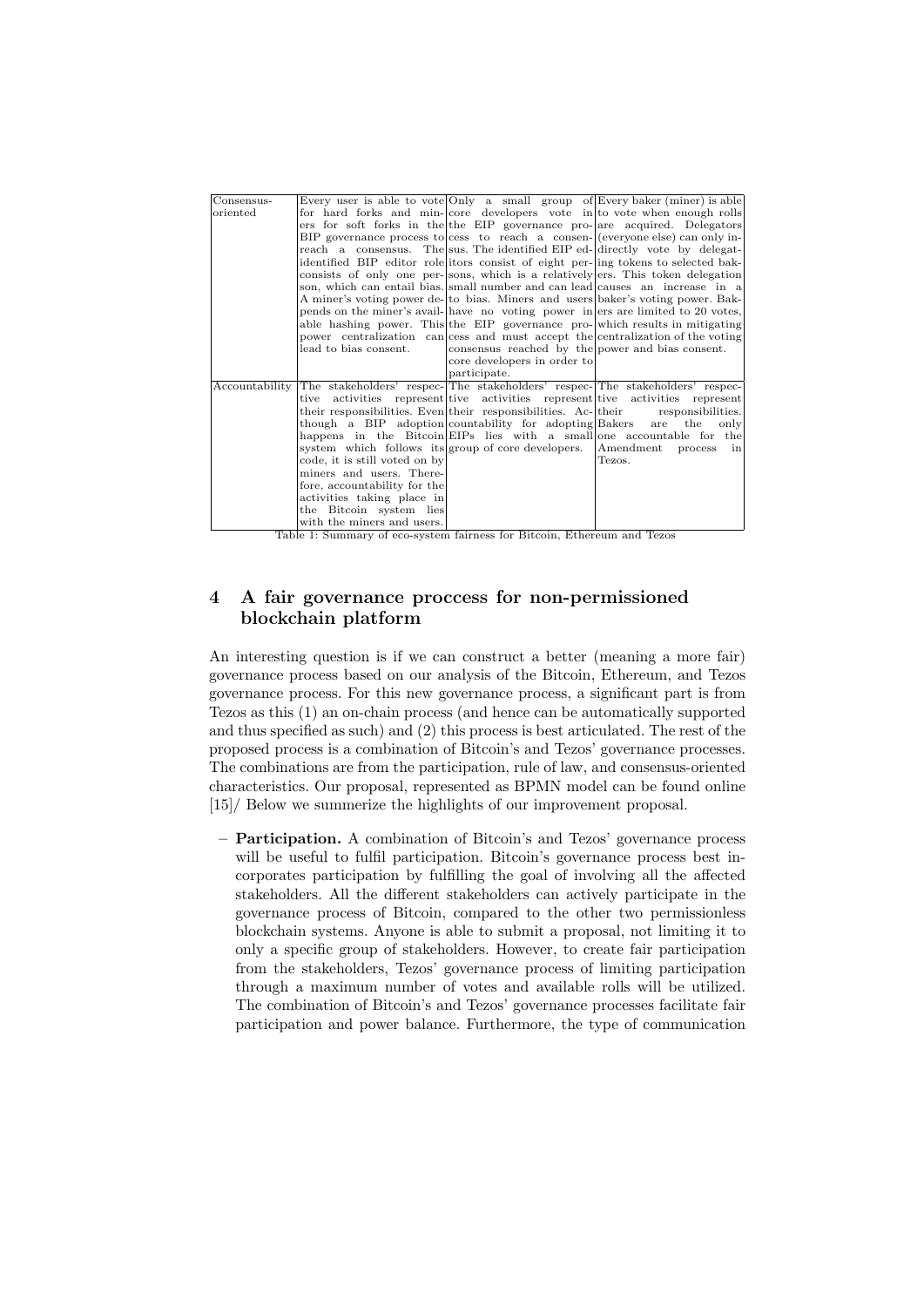| Consensus-     |                                                                               |                                                        | Every user is able to vote Only a small group of Every baker (miner) is able       |
|----------------|-------------------------------------------------------------------------------|--------------------------------------------------------|------------------------------------------------------------------------------------|
| oriented       |                                                                               |                                                        | for hard forks and min-core developers vote in to vote when enough rolls           |
|                |                                                                               |                                                        | ers for soft forks in the the EIP governance pro- are acquired. Delegators         |
|                |                                                                               |                                                        | BIP governance process to cess to reach a consen- $ $ (everyone else) can only in- |
|                |                                                                               |                                                        | reach a consensus. The sus. The identified EIP ed-directly vote by delegat-        |
|                |                                                                               |                                                        | identified BIP editor role itors consist of eight per- ing tokens to selected bak- |
|                |                                                                               |                                                        | consists of only one per-sons, which is a relatively ers. This token delegation    |
|                |                                                                               |                                                        | son, which can entail bias. small number and can lead causes an increase in a      |
|                |                                                                               |                                                        | A miner's voting power de-to bias. Miners and users baker's voting power. Bak-     |
|                |                                                                               |                                                        | pends on the miner's avail- have no voting power in ers are limited to 20 votes,   |
|                |                                                                               |                                                        | able hashing power. This the EIP governance pro-which results in mitigating        |
|                |                                                                               |                                                        | power centralization can cess and must accept the centralization of the voting     |
|                | lead to bias consent.                                                         | consensus reached by the power and bias consent.       |                                                                                    |
|                |                                                                               | core developers in order to                            |                                                                                    |
|                |                                                                               | participate.                                           |                                                                                    |
| Accountability | The stakeholders' respec- The stakeholders' respec- The stakeholders' respec- |                                                        |                                                                                    |
|                |                                                                               |                                                        | tive activities represent tive activities represent tive activities represent      |
|                |                                                                               |                                                        | their responsibilities. Even their responsibilities. Ac-their responsibilities.    |
|                |                                                                               | though a BIP adoption countability for adopting Bakers | are the<br>only                                                                    |
|                |                                                                               |                                                        | happens in the Bitcoin EIPs lies with a small one accountable for the              |
|                | system which follows its group of core developers.                            |                                                        | Amendment process in                                                               |
|                | code, it is still voted on by                                                 |                                                        | Tezos.                                                                             |
|                | miners and users. There-                                                      |                                                        |                                                                                    |
|                | fore, accountability for the                                                  |                                                        |                                                                                    |
|                | activities taking place in                                                    |                                                        |                                                                                    |
|                | the Bitcoin system lies                                                       |                                                        |                                                                                    |
|                | with the miners and users.                                                    |                                                        |                                                                                    |

Table 1: Summary of eco-system fairness for Bitcoin, Ethereum and Tezos

## 4 A fair governance proccess for non-permissioned blockchain platform

An interesting question is if we can construct a better (meaning a more fair) governance process based on our analysis of the Bitcoin, Ethereum, and Tezos governance process. For this new governance process, a significant part is from Tezos as this (1) an on-chain process (and hence can be automatically supported and thus specified as such) and (2) this process is best articulated. The rest of the proposed process is a combination of Bitcoin's and Tezos' governance processes. The combinations are from the participation, rule of law, and consensus-oriented characteristics. Our proposal, represented as BPMN model can be found online [15]/ Below we summerize the highlights of our improvement proposal.

– Participation. A combination of Bitcoin's and Tezos' governance process will be useful to fulfil participation. Bitcoin's governance process best incorporates participation by fulfilling the goal of involving all the affected stakeholders. All the different stakeholders can actively participate in the governance process of Bitcoin, compared to the other two permissionless blockchain systems. Anyone is able to submit a proposal, not limiting it to only a specific group of stakeholders. However, to create fair participation from the stakeholders, Tezos' governance process of limiting participation through a maximum number of votes and available rolls will be utilized. The combination of Bitcoin's and Tezos' governance processes facilitate fair participation and power balance. Furthermore, the type of communication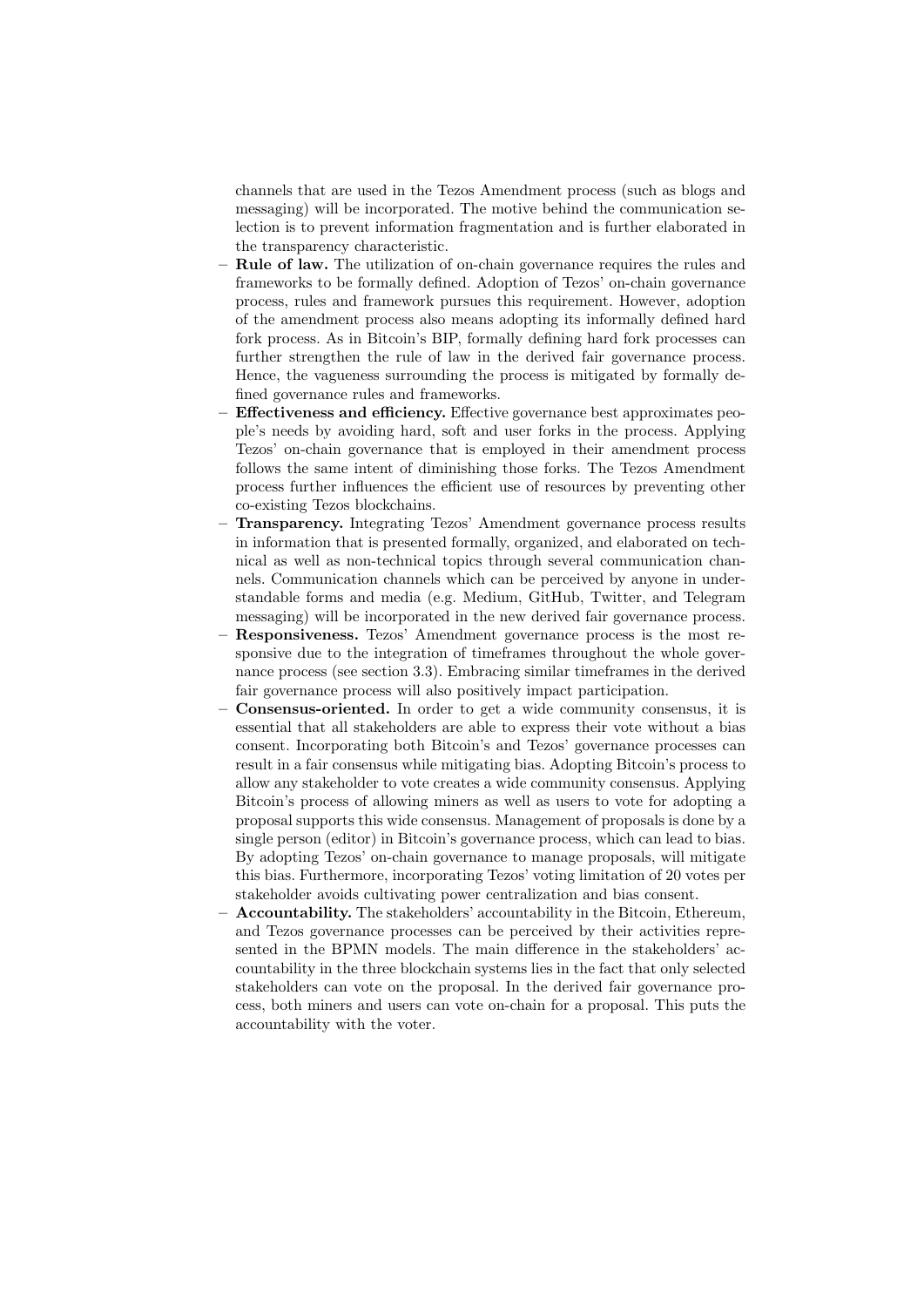channels that are used in the Tezos Amendment process (such as blogs and messaging) will be incorporated. The motive behind the communication selection is to prevent information fragmentation and is further elaborated in the transparency characteristic.

- Rule of law. The utilization of on-chain governance requires the rules and frameworks to be formally defined. Adoption of Tezos' on-chain governance process, rules and framework pursues this requirement. However, adoption of the amendment process also means adopting its informally defined hard fork process. As in Bitcoin's BIP, formally defining hard fork processes can further strengthen the rule of law in the derived fair governance process. Hence, the vagueness surrounding the process is mitigated by formally defined governance rules and frameworks.
- Effectiveness and efficiency. Effective governance best approximates people's needs by avoiding hard, soft and user forks in the process. Applying Tezos' on-chain governance that is employed in their amendment process follows the same intent of diminishing those forks. The Tezos Amendment process further influences the efficient use of resources by preventing other co-existing Tezos blockchains.
- Transparency. Integrating Tezos' Amendment governance process results in information that is presented formally, organized, and elaborated on technical as well as non-technical topics through several communication channels. Communication channels which can be perceived by anyone in understandable forms and media (e.g. Medium, GitHub, Twitter, and Telegram messaging) will be incorporated in the new derived fair governance process.
- Responsiveness. Tezos' Amendment governance process is the most responsive due to the integration of timeframes throughout the whole governance process (see section 3.3). Embracing similar timeframes in the derived fair governance process will also positively impact participation.
- Consensus-oriented. In order to get a wide community consensus, it is essential that all stakeholders are able to express their vote without a bias consent. Incorporating both Bitcoin's and Tezos' governance processes can result in a fair consensus while mitigating bias. Adopting Bitcoin's process to allow any stakeholder to vote creates a wide community consensus. Applying Bitcoin's process of allowing miners as well as users to vote for adopting a proposal supports this wide consensus. Management of proposals is done by a single person (editor) in Bitcoin's governance process, which can lead to bias. By adopting Tezos' on-chain governance to manage proposals, will mitigate this bias. Furthermore, incorporating Tezos' voting limitation of 20 votes per stakeholder avoids cultivating power centralization and bias consent.
- Accountability. The stakeholders' accountability in the Bitcoin, Ethereum, and Tezos governance processes can be perceived by their activities represented in the BPMN models. The main difference in the stakeholders' accountability in the three blockchain systems lies in the fact that only selected stakeholders can vote on the proposal. In the derived fair governance process, both miners and users can vote on-chain for a proposal. This puts the accountability with the voter.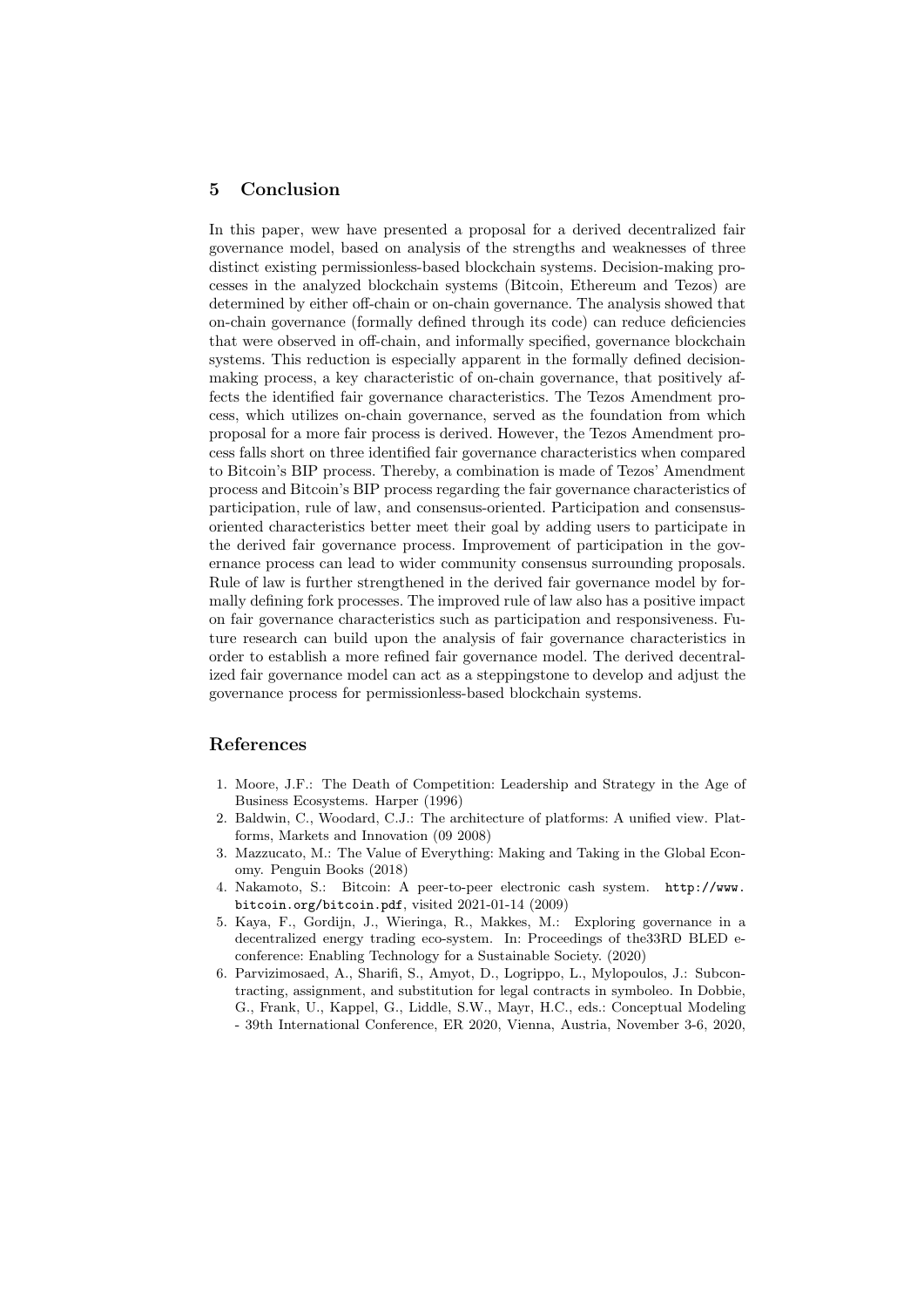### 5 Conclusion

In this paper, wew have presented a proposal for a derived decentralized fair governance model, based on analysis of the strengths and weaknesses of three distinct existing permissionless-based blockchain systems. Decision-making processes in the analyzed blockchain systems (Bitcoin, Ethereum and Tezos) are determined by either off-chain or on-chain governance. The analysis showed that on-chain governance (formally defined through its code) can reduce deficiencies that were observed in off-chain, and informally specified, governance blockchain systems. This reduction is especially apparent in the formally defined decisionmaking process, a key characteristic of on-chain governance, that positively affects the identified fair governance characteristics. The Tezos Amendment process, which utilizes on-chain governance, served as the foundation from which proposal for a more fair process is derived. However, the Tezos Amendment process falls short on three identified fair governance characteristics when compared to Bitcoin's BIP process. Thereby, a combination is made of Tezos' Amendment process and Bitcoin's BIP process regarding the fair governance characteristics of participation, rule of law, and consensus-oriented. Participation and consensusoriented characteristics better meet their goal by adding users to participate in the derived fair governance process. Improvement of participation in the governance process can lead to wider community consensus surrounding proposals. Rule of law is further strengthened in the derived fair governance model by formally defining fork processes. The improved rule of law also has a positive impact on fair governance characteristics such as participation and responsiveness. Future research can build upon the analysis of fair governance characteristics in order to establish a more refined fair governance model. The derived decentralized fair governance model can act as a steppingstone to develop and adjust the governance process for permissionless-based blockchain systems.

#### References

- 1. Moore, J.F.: The Death of Competition: Leadership and Strategy in the Age of Business Ecosystems. Harper (1996)
- 2. Baldwin, C., Woodard, C.J.: The architecture of platforms: A unified view. Platforms, Markets and Innovation (09 2008)
- 3. Mazzucato, M.: The Value of Everything: Making and Taking in the Global Economy. Penguin Books (2018)
- 4. Nakamoto, S.: Bitcoin: A peer-to-peer electronic cash system. http://www. bitcoin.org/bitcoin.pdf, visited 2021-01-14 (2009)
- 5. Kaya, F., Gordijn, J., Wieringa, R., Makkes, M.: Exploring governance in a decentralized energy trading eco-system. In: Proceedings of the33RD BLED econference: Enabling Technology for a Sustainable Society. (2020)
- 6. Parvizimosaed, A., Sharifi, S., Amyot, D., Logrippo, L., Mylopoulos, J.: Subcontracting, assignment, and substitution for legal contracts in symboleo. In Dobbie, G., Frank, U., Kappel, G., Liddle, S.W., Mayr, H.C., eds.: Conceptual Modeling - 39th International Conference, ER 2020, Vienna, Austria, November 3-6, 2020,